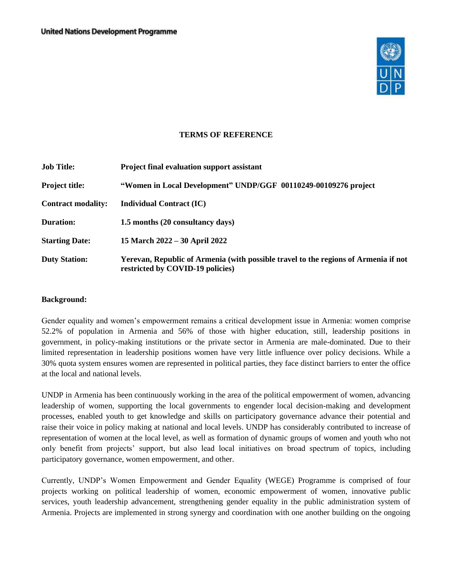

#### **TERMS OF REFERENCE**

| <b>Job Title:</b>         | <b>Project final evaluation support assistant</b>                                                                       |
|---------------------------|-------------------------------------------------------------------------------------------------------------------------|
| <b>Project title:</b>     | "Women in Local Development" UNDP/GGF 00110249-00109276 project                                                         |
| <b>Contract modality:</b> | <b>Individual Contract (IC)</b>                                                                                         |
| <b>Duration:</b>          | 1.5 months (20 consultancy days)                                                                                        |
| <b>Starting Date:</b>     | 15 March 2022 – 30 April 2022                                                                                           |
| <b>Duty Station:</b>      | Yerevan, Republic of Armenia (with possible travel to the regions of Armenia if not<br>restricted by COVID-19 policies) |

#### **Background:**

Gender equality and women's empowerment remains a critical development issue in Armenia: women comprise 52.2% of population in Armenia and 56% of those with higher education, still, leadership positions in government, in policy-making institutions or the private sector in Armenia are male-dominated. Due to their limited representation in leadership positions women have very little influence over policy decisions. While a 30% quota system ensures women are represented in political parties, they face distinct barriers to enter the office at the local and national levels.

UNDP in Armenia has been continuously working in the area of the political empowerment of women, advancing leadership of women, supporting the local governments to engender local decision-making and development processes, enabled youth to get knowledge and skills on participatory governance advance their potential and raise their voice in policy making at national and local levels. UNDP has considerably contributed to increase of representation of women at the local level, as well as formation of dynamic groups of women and youth who not only benefit from projects' support, but also lead local initiatives on broad spectrum of topics, including participatory governance, women empowerment, and other.

Currently, UNDP's Women Empowerment and Gender Equality (WEGE) Programme is comprised of four projects working on political leadership of women, economic empowerment of women, innovative public services, youth leadership advancement, strengthening gender equality in the public administration system of Armenia. Projects are implemented in strong synergy and coordination with one another building on the ongoing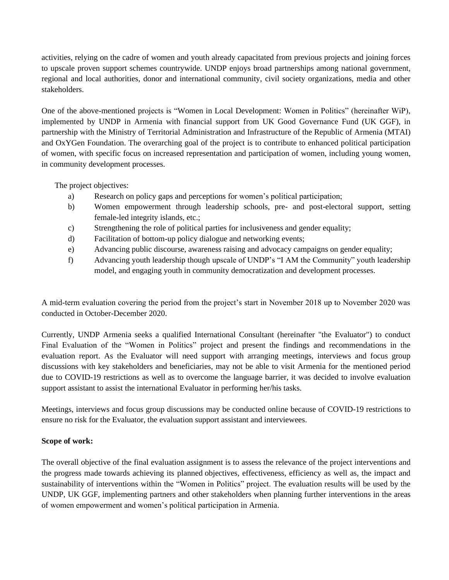activities, relying on the cadre of women and youth already capacitated from previous projects and joining forces to upscale proven support schemes countrywide. UNDP enjoys broad partnerships among national government, regional and local authorities, donor and international community, civil society organizations, media and other stakeholders.

One of the above-mentioned projects is "Women in Local Development: Women in Politics" (hereinafter WiP), implemented by UNDP in Armenia with financial support from UK Good Governance Fund (UK GGF), in partnership with the Ministry of Territorial Administration and Infrastructure of the Republic of Armenia (MTAI) and OxYGen Foundation. The overarching goal of the project is to contribute to enhanced political participation of women, with specific focus on increased representation and participation of women, including young women, in community development processes.

The project objectives:

- a) Research on policy gaps and perceptions for women's political participation;
- b) Women empowerment through leadership schools, pre- and post-electoral support, setting female-led integrity islands, etc.;
- c) Strengthening the role of political parties for inclusiveness and gender equality;
- d) Facilitation of bottom-up policy dialogue and networking events;
- e) Advancing public discourse, awareness raising and advocacy campaigns on gender equality;
- f) Advancing youth leadership though upscale of UNDP's "I AM the Community" youth leadership model, and engaging youth in community democratization and development processes.

A mid-term evaluation covering the period from the project's start in November 2018 up to November 2020 was conducted in October-December 2020.

Currently, UNDP Armenia seeks a qualified International Consultant (hereinafter "the Evaluator") to conduct Final Evaluation of the "Women in Politics" project and present the findings and recommendations in the evaluation report. As the Evaluator will need support with arranging meetings, interviews and focus group discussions with key stakeholders and beneficiaries, may not be able to visit Armenia for the mentioned period due to COVID-19 restrictions as well as to overcome the language barrier, it was decided to involve evaluation support assistant to assist the international Evaluator in performing her/his tasks.

Meetings, interviews and focus group discussions may be conducted online because of COVID-19 restrictions to ensure no risk for the Evaluator, the evaluation support assistant and interviewees.

## **Scope of work:**

The overall objective of the final evaluation assignment is to assess the relevance of the project interventions and the progress made towards achieving its planned objectives, effectiveness, efficiency as well as, the impact and sustainability of interventions within the "Women in Politics" project. The evaluation results will be used by the UNDP, UK GGF, implementing partners and other stakeholders when planning further interventions in the areas of women empowerment and women's political participation in Armenia.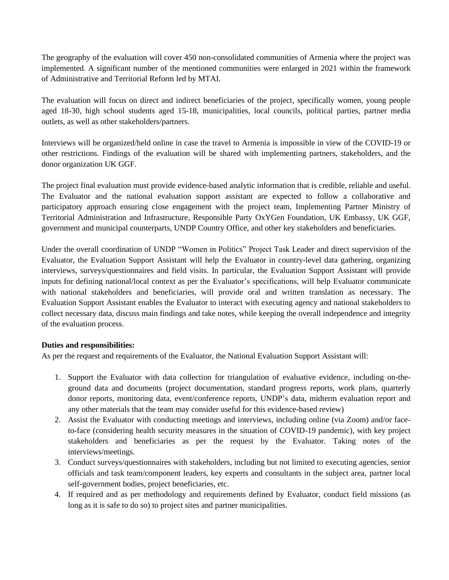The geography of the evaluation will cover 450 non-consolidated communities of Armenia where the project was implemented. A significant number of the mentioned communities were enlarged in 2021 within the framework of Administrative and Territorial Reform led by MTAI.

The evaluation will focus on direct and indirect beneficiaries of the project, specifically women, young people aged 18-30, high school students aged 15-18, municipalities, local councils, political parties, partner media outlets, as well as other stakeholders/partners.

Interviews will be organized/held online in case the travel to Armenia is impossible in view of the COVID-19 or other restrictions. Findings of the evaluation will be shared with implementing partners, stakeholders, and the donor organization UK GGF.

The project final evaluation must provide evidence-based analytic information that is credible, reliable and useful. The Evaluator and the national evaluation support assistant are expected to follow a collaborative and participatory approach ensuring close engagement with the project team, Implementing Partner Ministry of Territorial Administration and Infrastructure, Responsible Party OxYGen Foundation, UK Embassy, UK GGF, government and municipal counterparts, UNDP Country Office, and other key stakeholders and beneficiaries.

Under the overall coordination of UNDP "Women in Politics" Project Task Leader and direct supervision of the Evaluator, the Evaluation Support Assistant will help the Evaluator in country-level data gathering, organizing interviews, surveys/questionnaires and field visits. In particular, the Evaluation Support Assistant will provide inputs for defining national/local context as per the Evaluator's specifications, will help Evaluator communicate with national stakeholders and beneficiaries, will provide oral and written translation as necessary. The Evaluation Support Assistant enables the Evaluator to interact with executing agency and national stakeholders to collect necessary data, discuss main findings and take notes, while keeping the overall independence and integrity of the evaluation process.

#### **Duties and responsibilities:**

As per the request and requirements of the Evaluator, the National Evaluation Support Assistant will:

- 1. Support the Evaluator with data collection for triangulation of evaluative evidence, including on-theground data and documents (project documentation, standard progress reports, work plans, quarterly donor reports, monitoring data, event/conference reports, UNDP's data, midterm evaluation report and any other materials that the team may consider useful for this evidence-based review)
- 2. Assist the Evaluator with conducting meetings and interviews, including online (via Zoom) and/or faceto-face (considering health security measures in the situation of COVID-19 pandemic), with key project stakeholders and beneficiaries as per the request by the Evaluator. Taking notes of the interviews/meetings.
- 3. Conduct surveys/questionnaires with stakeholders, including but not limited to executing agencies, senior officials and task team/component leaders, key experts and consultants in the subject area, partner local self-government bodies, project beneficiaries, etc.
- 4. If required and as per methodology and requirements defined by Evaluator, conduct field missions (as long as it is safe to do so) to project sites and partner municipalities.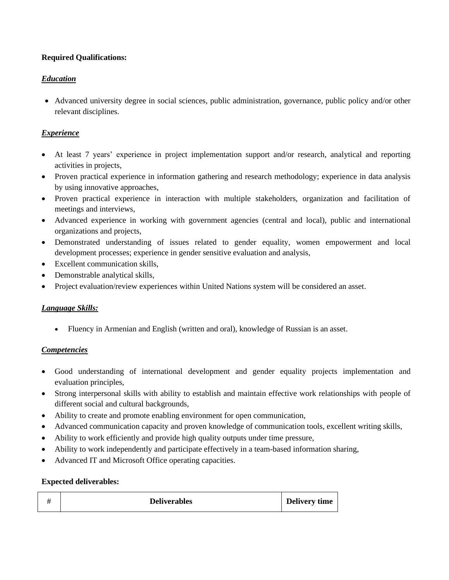# **Required Qualifications:**

# *Education*

• Advanced university degree in social sciences, public administration, governance, public policy and/or other relevant disciplines.

# *Experience*

- At least 7 years' experience in project implementation support and/or research, analytical and reporting activities in projects,
- Proven practical experience in information gathering and research methodology; experience in data analysis by using innovative approaches,
- Proven practical experience in interaction with multiple stakeholders, organization and facilitation of meetings and interviews,
- Advanced experience in working with government agencies (central and local), public and international organizations and projects,
- Demonstrated understanding of issues related to gender equality, women empowerment and local development processes; experience in gender sensitive evaluation and analysis,
- Excellent communication skills,
- Demonstrable analytical skills,
- Project evaluation/review experiences within United Nations system will be considered an asset.

## *Language Skills:*

• Fluency in Armenian and English (written and oral), knowledge of Russian is an asset.

## *Competencies*

- Good understanding of international development and gender equality projects implementation and evaluation principles,
- Strong interpersonal skills with ability to establish and maintain effective work relationships with people of different social and cultural backgrounds,
- Ability to create and promote enabling environment for open communication,
- Advanced communication capacity and proven knowledge of communication tools, excellent writing skills,
- Ability to work efficiently and provide high quality outputs under time pressure,
- Ability to work independently and participate effectively in a team-based information sharing,
- Advanced IT and Microsoft Office operating capacities.

## **Expected deliverables:**

|  | <b>Deliverables</b> | Delivery time |
|--|---------------------|---------------|
|--|---------------------|---------------|